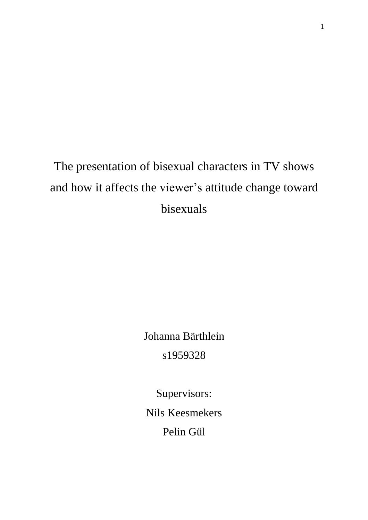The presentation of bisexual characters in TV shows and how it affects the viewer's attitude change toward bisexuals

> Johanna Bärthlein s1959328

Supervisors: Nils Keesmekers Pelin Gül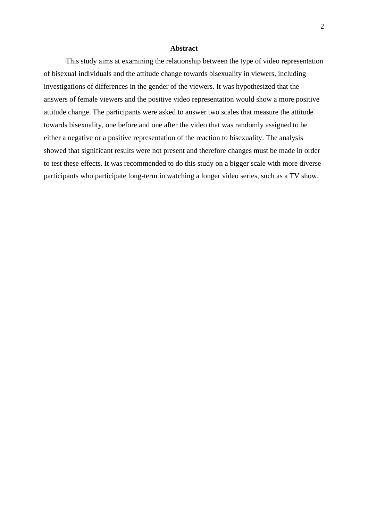#### **Abstract**

This study aims at examining the relationship between the type of video representation of bisexual individuals and the attitude change towards bisexuality in viewers, including investigations of differences in the gender of the viewers. It was hypothesized that the answers of female viewers and the positive video representation would show a more positive attitude change. The participants were asked to answer two scales that measure the attitude towards bisexuality, one before and one after the video that was randomly assigned to be either a negative or a positive representation of the reaction to bisexuality. The analysis showed that significant results were not present and therefore changes must be made in order to test these effects. It was recommended to do this study on a bigger scale with more diverse participants who participate long-term in watching a longer video series, such as a TV show.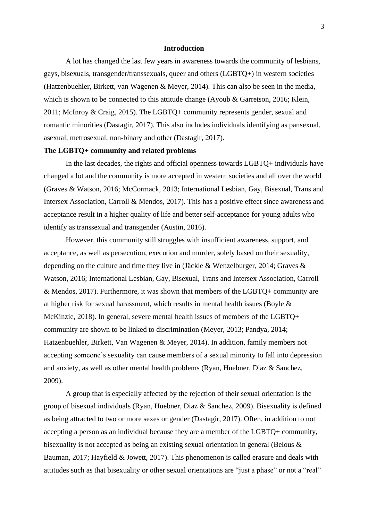# **Introduction**

A lot has changed the last few years in awareness towards the community of lesbians, gays, bisexuals, transgender/transsexuals, queer and others (LGBTQ+) in western societies (Hatzenbuehler, Birkett, van Wagenen & Meyer, 2014). This can also be seen in the media, which is shown to be connected to this attitude change (Ayoub & Garretson, 2016; Klein, 2011; McInroy & Craig, 2015). The LGBTQ+ community represents gender, sexual and romantic minorities (Dastagir, 2017). This also includes individuals identifying as pansexual, asexual, metrosexual, non-binary and other (Dastagir, 2017).

#### **The LGBTQ+ community and related problems**

In the last decades, the rights and official openness towards LGBTQ+ individuals have changed a lot and the community is more accepted in western societies and all over the world (Graves & Watson, 2016; McCormack, 2013; International Lesbian, Gay, Bisexual, Trans and Intersex Association, Carroll & Mendos, 2017). This has a positive effect since awareness and acceptance result in a higher quality of life and better self-acceptance for young adults who identify as transsexual and transgender (Austin, 2016).

However, this community still struggles with insufficient awareness, support, and acceptance, as well as persecution, execution and murder, solely based on their sexuality, depending on the culture and time they live in (Jäckle & Wenzelburger, 2014; Graves & Watson, 2016; International Lesbian, Gay, Bisexual, Trans and Intersex Association, Carroll & Mendos, 2017). Furthermore, it was shown that members of the LGBTQ+ community are at higher risk for sexual harassment, which results in mental health issues (Boyle & McKinzie, 2018). In general, severe mental health issues of members of the LGBTQ+ community are shown to be linked to discrimination (Meyer, 2013; Pandya, 2014; Hatzenbuehler, Birkett, Van Wagenen & Meyer, 2014). In addition, family members not accepting someone's sexuality can cause members of a sexual minority to fall into depression and anxiety, as well as other mental health problems (Ryan, Huebner, Diaz & Sanchez, 2009).

A group that is especially affected by the rejection of their sexual orientation is the group of bisexual individuals (Ryan, Huebner, Diaz & Sanchez, 2009). Bisexuality is defined as being attracted to two or more sexes or gender (Dastagir, 2017). Often, in addition to not accepting a person as an individual because they are a member of the LGBTQ+ community, bisexuality is not accepted as being an existing sexual orientation in general (Belous & Bauman, 2017; Hayfield & Jowett, 2017). This phenomenon is called erasure and deals with attitudes such as that bisexuality or other sexual orientations are "just a phase" or not a "real"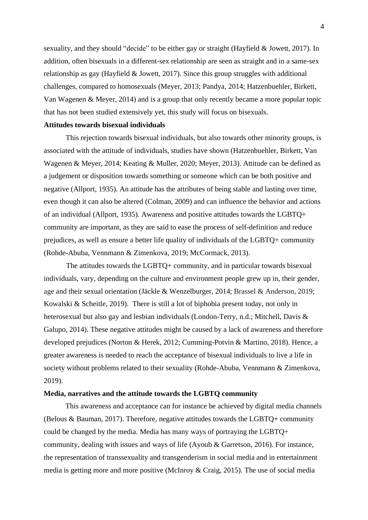sexuality, and they should "decide" to be either gay or straight (Hayfield & Jowett, 2017). In addition, often bisexuals in a different-sex relationship are seen as straight and in a same-sex relationship as gay (Hayfield & Jowett, 2017). Since this group struggles with additional challenges, compared to homosexuals (Meyer, 2013; Pandya, 2014; Hatzenbuehler, Birkett, Van Wagenen & Meyer, 2014) and is a group that only recently became a more popular topic that has not been studied extensively yet, this study will focus on bisexuals.

#### **Attitudes towards bisexual individuals**

This rejection towards bisexual individuals, but also towards other minority groups, is associated with the attitude of individuals, studies have shown (Hatzenbuehler, Birkett, Van Wagenen & Meyer, 2014; Keating & Muller, 2020; Meyer, 2013). Attitude can be defined as a judgement or disposition towards something or someone which can be both positive and negative (Allport, 1935). An attitude has the attributes of being stable and lasting over time, even though it can also be altered (Colman, 2009) and can influence the behavior and actions of an individual (Allport, 1935). Awareness and positive attitudes towards the LGBTQ+ community are important, as they are said to ease the process of self-definition and reduce prejudices, as well as ensure a better life quality of individuals of the LGBTQ+ community (Rohde-Abuba, Vennmann & Zimenkova, 2019; McCormack, 2013).

The attitudes towards the LGBTQ+ community, and in particular towards bisexual individuals, vary, depending on the culture and environment people grew up in, their gender, age and their sexual orientation (Jäckle & Wenzelburger, 2014; Brassel & Anderson, 2019; Kowalski  $\&$  Scheitle, 2019). There is still a lot of biphobia present today, not only in heterosexual but also gay and lesbian individuals (London-Terry, n.d.; Mitchell, Davis [&](https://www.tandfonline.com/author/Galupo%25252525252C+M+Paz) Galupo, 2014). These negative attitudes might be caused by a lack of awareness and therefore developed prejudices (Norton & Herek, 2012; Cumming-Potvin & Martino, 2018). Hence, a greater awareness is needed to reach the acceptance of bisexual individuals to live a life in society without problems related to their sexuality (Rohde-Abuba, Vennmann & Zimenkova, 2019).

#### **Media, narratives and the attitude towards the LGBTQ community**

This awareness and acceptance can for instance be achieved by digital media channels (Belous & Bauman, 2017). Therefore, negative attitudes towards the LGBTQ+ community could be changed by the media. Media has many ways of portraying the LGBTQ+ community, dealing with issues and ways of life (Ayoub & Garretson, 2016). For instance, the representation of transsexuality and transgenderism in social media and in entertainment media is getting more and more positive (McInroy & Craig, 2015). The use of social media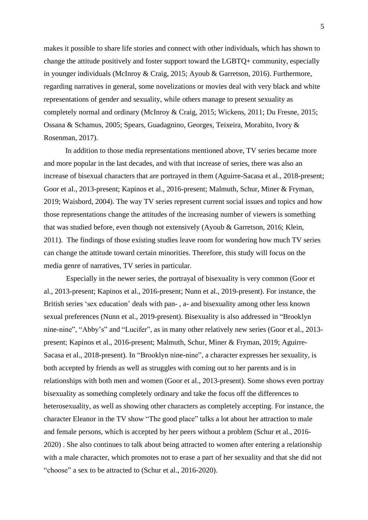makes it possible to share life stories and connect with other individuals, which has shown to change the attitude positively and foster support toward the LGBTQ+ community, especially in younger individuals (McInroy & Craig, 2015; Ayoub & Garretson, 2016). Furthermore, regarding narratives in general, some novelizations or movies deal with very black and white representations of gender and sexuality, while others manage to present sexuality as completely normal and ordinary (McInroy & Craig, 2015; Wickens, 2011; Du Fresne, 2015; Ossana & Schamus, 2005; Spears, Guadagnino, Georges, Teixeira, Morabito, Ivory & Rosenman, 2017).

In addition to those media representations mentioned above, TV series became more and more popular in the last decades, and with that increase of series, there was also an increase of bisexual characters that are portrayed in them (Aguirre-Sacasa et al., 2018-present; Goor et al., 2013-present; Kapinos et al., 2016-present; Malmuth, Schur, Miner & Fryman, 2019; Waisbord, 2004). The way TV series represent current social issues and topics and how those representations change the attitudes of the increasing number of viewers is something that was studied before, even though not extensively (Ayoub & Garretson, 2016; Klein, 2011). The findings of those existing studies leave room for wondering how much TV series can change the attitude toward certain minorities. Therefore, this study will focus on the media genre of narratives, TV series in particular.

Especially in the newer series, the portrayal of bisexuality is very common (Goor et al., 2013-present; Kapinos et al., 2016-present; Nunn et al., 2019-present). For instance, the British series 'sex education' deals with pan- , a- and bisexuality among other less known sexual preferences (Nunn et al., 2019-present). Bisexuality is also addressed in "Brooklyn nine-nine", "Abby's" and "Lucifer", as in many other relatively new series (Goor et al., 2013 present; Kapinos et al., 2016-present; Malmuth, Schur, Miner & Fryman, 2019; Aguirre-Sacasa et al., 2018-present). In "Brooklyn nine-nine", a character expresses her sexuality, is both accepted by friends as well as struggles with coming out to her parents and is in relationships with both men and women (Goor et al., 2013-present). Some shows even portray bisexuality as something completely ordinary and take the focus off the differences to heterosexuality, as well as showing other characters as completely accepting. For instance, the character Eleanor in the TV show "The good place" talks a lot about her attraction to male and female persons, which is accepted by her peers without a problem (Schur et al., 2016- 2020) . She also continues to talk about being attracted to women after entering a relationship with a male character, which promotes not to erase a part of her sexuality and that she did not "choose" a sex to be attracted to (Schur et al., 2016-2020).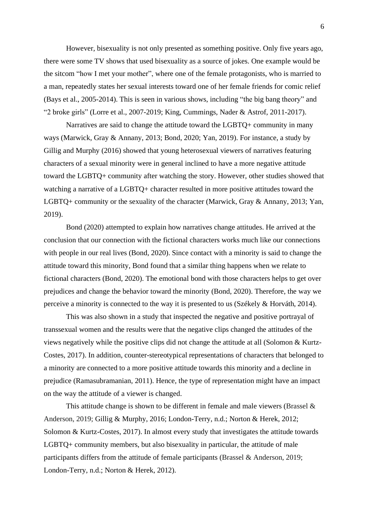However, bisexuality is not only presented as something positive. Only five years ago, there were some TV shows that used bisexuality as a source of jokes. One example would be the sitcom "how I met your mother", where one of the female protagonists, who is married to a man, repeatedly states her sexual interests toward one of her female friends for comic relief (Bays et al., 2005-2014). This is seen in various shows, including "the big bang theory" and "2 broke girls" (Lorre et al., 2007-2019; King, Cummings, Nader & Astrof, 2011-2017).

Narratives are said to change the attitude toward the LGBTQ+ community in many ways (Marwick, Gray & Annany, 2013; Bond, 2020; Yan, 2019). For instance, a study by Gillig and Murphy (2016) showed that young heterosexual viewers of narratives featuring characters of a sexual minority were in general inclined to have a more negative attitude toward the LGBTQ+ community after watching the story. However, other studies showed that watching a narrative of a LGBTQ+ character resulted in more positive attitudes toward the LGBTQ+ community or the sexuality of the character (Marwick, Gray & Annany, 2013; Yan, 2019).

Bond (2020) attempted to explain how narratives change attitudes. He arrived at the conclusion that our connection with the fictional characters works much like our connections with people in our real lives (Bond, 2020). Since contact with a minority is said to change the attitude toward this minority, Bond found that a similar thing happens when we relate to fictional characters (Bond, 2020). The emotional bond with those characters helps to get over prejudices and change the behavior toward the minority (Bond, 2020). Therefore, the way we perceive a minority is connected to the way it is presented to us (Székely & Horváth, 2014).

This was also shown in a study that inspected the negative and positive portrayal of transsexual women and the results were that the negative clips changed the attitudes of the views negatively while the positive clips did not change the attitude at all (Solomon & Kurtz-Costes, 2017). In addition, counter-stereotypical representations of characters that belonged to a minority are connected to a more positive attitude towards this minority and a decline in prejudice (Ramasubramanian, 2011). Hence, the type of representation might have an impact on the way the attitude of a viewer is changed.

This attitude change is shown to be different in female and male viewers (Brassel & Anderson, 2019; Gillig & Murphy, 2016; London-Terry, n.d.; Norton & Herek, 2012; Solomon & Kurtz-Costes, 2017). In almost every study that investigates the attitude towards LGBTQ+ community members, but also bisexuality in particular, the attitude of male participants differs from the attitude of female participants (Brassel & Anderson, 2019; London-Terry, n.d.; Norton & Herek, 2012).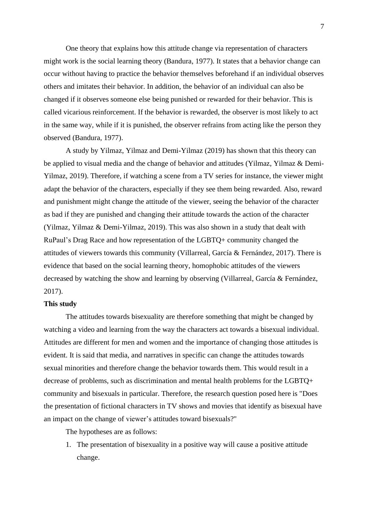One theory that explains how this attitude change via representation of characters might work is the social learning theory (Bandura, 1977). It states that a behavior change can occur without having to practice the behavior themselves beforehand if an individual observes others and imitates their behavior. In addition, the behavior of an individual can also be changed if it observes someone else being punished or rewarded for their behavior. This is called vicarious reinforcement. If the behavior is rewarded, the observer is most likely to act in the same way, while if it is punished, the observer refrains from acting like the person they observed (Bandura, 1977).

A study by Yilmaz, Yilmaz and Demi-Yilmaz (2019) has shown that this theory can be applied to visual media and the change of behavior and attitudes (Yilmaz, Yilmaz & Demi-Yilmaz, 2019). Therefore, if watching a scene from a TV series for instance, the viewer might adapt the behavior of the characters, especially if they see them being rewarded. Also, reward and punishment might change the attitude of the viewer, seeing the behavior of the character as bad if they are punished and changing their attitude towards the action of the character (Yilmaz, Yilmaz & Demi-Yilmaz, 2019). This was also shown in a study that dealt with RuPaul's Drag Race and how representation of the LGBTQ+ community changed the attitudes of viewers towards this community (Villarreal, García & Fernández, 2017). There is evidence that based on the social learning theory, homophobic attitudes of the viewers decreased by watching the show and learning by observing (Villarreal, García & Fernández, 2017).

#### **This study**

The attitudes towards bisexuality are therefore something that might be changed by watching a video and learning from the way the characters act towards a bisexual individual. Attitudes are different for men and women and the importance of changing those attitudes is evident. It is said that media, and narratives in specific can change the attitudes towards sexual minorities and therefore change the behavior towards them. This would result in a decrease of problems, such as discrimination and mental health problems for the LGBTQ+ community and bisexuals in particular. Therefore, the research question posed here is "Does the presentation of fictional characters in TV shows and movies that identify as bisexual have an impact on the change of viewer's attitudes toward bisexuals?"

The hypotheses are as follows:

1. The presentation of bisexuality in a positive way will cause a positive attitude change.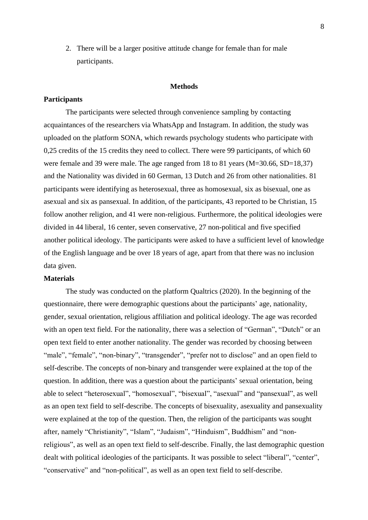2. There will be a larger positive attitude change for female than for male participants.

#### **Methods**

# **Participants**

The participants were selected through convenience sampling by contacting acquaintances of the researchers via WhatsApp and Instagram. In addition, the study was uploaded on the platform SONA, which rewards psychology students who participate with 0,25 credits of the 15 credits they need to collect. There were 99 participants, of which 60 were female and 39 were male. The age ranged from 18 to 81 years (M=30.66, SD=18,37) and the Nationality was divided in 60 German, 13 Dutch and 26 from other nationalities. 81 participants were identifying as heterosexual, three as homosexual, six as bisexual, one as asexual and six as pansexual. In addition, of the participants, 43 reported to be Christian, 15 follow another religion, and 41 were non-religious. Furthermore, the political ideologies were divided in 44 liberal, 16 center, seven conservative, 27 non-political and five specified another political ideology. The participants were asked to have a sufficient level of knowledge of the English language and be over 18 years of age, apart from that there was no inclusion data given.

### **Materials**

The study was conducted on the platform Qualtrics (2020). In the beginning of the questionnaire, there were demographic questions about the participants' age, nationality, gender, sexual orientation, religious affiliation and political ideology. The age was recorded with an open text field. For the nationality, there was a selection of "German", "Dutch" or an open text field to enter another nationality. The gender was recorded by choosing between "male", "female", "non-binary", "transgender", "prefer not to disclose" and an open field to self-describe. The concepts of non-binary and transgender were explained at the top of the question. In addition, there was a question about the participants' sexual orientation, being able to select "heterosexual", "homosexual", "bisexual", "asexual" and "pansexual", as well as an open text field to self-describe. The concepts of bisexuality, asexuality and pansexuality were explained at the top of the question. Then, the religion of the participants was sought after, namely "Christianity", "Islam", "Judaism", "Hinduism", Buddhism" and "nonreligious", as well as an open text field to self-describe. Finally, the last demographic question dealt with political ideologies of the participants. It was possible to select "liberal", "center", "conservative" and "non-political", as well as an open text field to self-describe.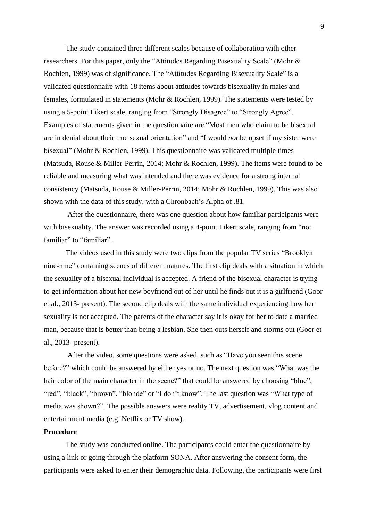The study contained three different scales because of collaboration with other researchers. For this paper, only the "Attitudes Regarding Bisexuality Scale" (Mohr & Rochlen, 1999) was of significance. The "Attitudes Regarding Bisexuality Scale" is a validated questionnaire with 18 items about attitudes towards bisexuality in males and females, formulated in statements (Mohr & Rochlen, 1999). The statements were tested by using a 5-point Likert scale, ranging from "Strongly Disagree" to "Strongly Agree". Examples of statements given in the questionnaire are "Most men who claim to be bisexual are in denial about their true sexual orientation" and "I would *not* be upset if my sister were bisexual" (Mohr & Rochlen, 1999). This questionnaire was validated multiple times (Matsuda, Rouse & Miller-Perrin, 2014; Mohr & Rochlen, 1999). The items were found to be reliable and measuring what was intended and there was evidence for a strong internal consistency (Matsuda, Rouse & Miller-Perrin, 2014; Mohr & Rochlen, 1999). This was also shown with the data of this study, with a Chronbach's Alpha of .81.

After the questionnaire, there was one question about how familiar participants were with bisexuality. The answer was recorded using a 4-point Likert scale, ranging from "not familiar" to "familiar".

The videos used in this study were two clips from the popular TV series "Brooklyn nine-nine" containing scenes of different natures. The first clip deals with a situation in which the sexuality of a bisexual individual is accepted. A friend of the bisexual character is trying to get information about her new boyfriend out of her until he finds out it is a girlfriend (Goor et al., 2013- present). The second clip deals with the same individual experiencing how her sexuality is not accepted. The parents of the character say it is okay for her to date a married man, because that is better than being a lesbian. She then outs herself and storms out (Goor et al., 2013- present).

After the video, some questions were asked, such as "Have you seen this scene before?" which could be answered by either yes or no. The next question was "What was the hair color of the main character in the scene?" that could be answered by choosing "blue", "red", "black", "brown", "blonde" or "I don't know". The last question was "What type of media was shown?". The possible answers were reality TV, advertisement, vlog content and entertainment media (e.g. Netflix or TV show).

#### **Procedure**

The study was conducted online. The participants could enter the questionnaire by using a link or going through the platform SONA. After answering the consent form, the participants were asked to enter their demographic data. Following, the participants were first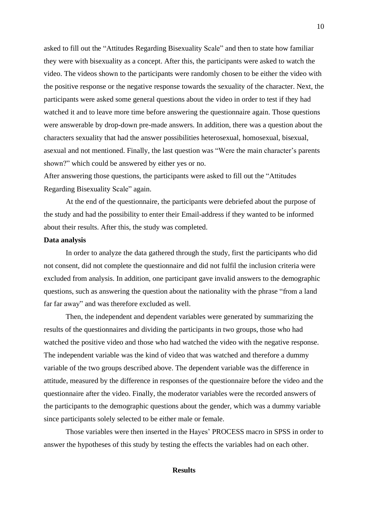asked to fill out the "Attitudes Regarding Bisexuality Scale" and then to state how familiar they were with bisexuality as a concept. After this, the participants were asked to watch the video. The videos shown to the participants were randomly chosen to be either the video with the positive response or the negative response towards the sexuality of the character. Next, the participants were asked some general questions about the video in order to test if they had watched it and to leave more time before answering the questionnaire again. Those questions were answerable by drop-down pre-made answers. In addition, there was a question about the characters sexuality that had the answer possibilities heterosexual, homosexual, bisexual, asexual and not mentioned. Finally, the last question was "Were the main character's parents shown?" which could be answered by either yes or no.

After answering those questions, the participants were asked to fill out the "Attitudes Regarding Bisexuality Scale" again.

At the end of the questionnaire, the participants were debriefed about the purpose of the study and had the possibility to enter their Email-address if they wanted to be informed about their results. After this, the study was completed.

# **Data analysis**

In order to analyze the data gathered through the study, first the participants who did not consent, did not complete the questionnaire and did not fulfil the inclusion criteria were excluded from analysis. In addition, one participant gave invalid answers to the demographic questions, such as answering the question about the nationality with the phrase "from a land far far away" and was therefore excluded as well.

Then, the independent and dependent variables were generated by summarizing the results of the questionnaires and dividing the participants in two groups, those who had watched the positive video and those who had watched the video with the negative response. The independent variable was the kind of video that was watched and therefore a dummy variable of the two groups described above. The dependent variable was the difference in attitude, measured by the difference in responses of the questionnaire before the video and the questionnaire after the video. Finally, the moderator variables were the recorded answers of the participants to the demographic questions about the gender, which was a dummy variable since participants solely selected to be either male or female.

Those variables were then inserted in the Hayes' PROCESS macro in SPSS in order to answer the hypotheses of this study by testing the effects the variables had on each other.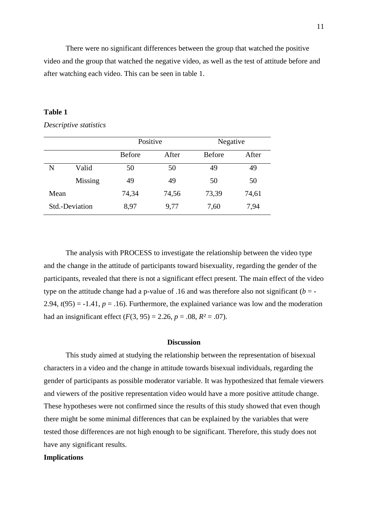There were no significant differences between the group that watched the positive video and the group that watched the negative video, as well as the test of attitude before and after watching each video. This can be seen in table 1.

# **Table 1**

#### *Descriptive statistics*

|                |         | Positive      |       | Negative      |       |
|----------------|---------|---------------|-------|---------------|-------|
|                |         | <b>Before</b> | After | <b>Before</b> | After |
| N              | Valid   | 50            | 50    | 49            | 49    |
|                | Missing | 49            | 49    | 50            | 50    |
| Mean           |         | 74,34         | 74,56 | 73,39         | 74,61 |
| Std.-Deviation |         | 8,97          | 9,77  | 7,60          | 7,94  |

The analysis with PROCESS to investigate the relationship between the video type and the change in the attitude of participants toward bisexuality, regarding the gender of the participants, revealed that there is not a significant effect present. The main effect of the video type on the attitude change had a p-value of .16 and was therefore also not significant  $(b = -1)$ 2.94,  $t(95) = -1.41$ ,  $p = .16$ ). Furthermore, the explained variance was low and the moderation had an insignificant effect  $(F(3, 95) = 2.26, p = .08, R^2 = .07)$ .

## **Discussion**

This study aimed at studying the relationship between the representation of bisexual characters in a video and the change in attitude towards bisexual individuals, regarding the gender of participants as possible moderator variable. It was hypothesized that female viewers and viewers of the positive representation video would have a more positive attitude change. These hypotheses were not confirmed since the results of this study showed that even though there might be some minimal differences that can be explained by the variables that were tested those differences are not high enough to be significant. Therefore, this study does not have any significant results.

## **Implications**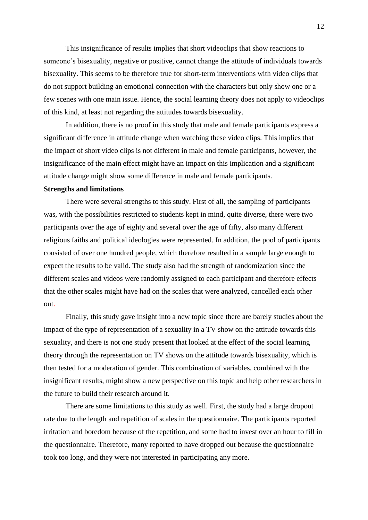This insignificance of results implies that short videoclips that show reactions to someone's bisexuality, negative or positive, cannot change the attitude of individuals towards bisexuality. This seems to be therefore true for short-term interventions with video clips that do not support building an emotional connection with the characters but only show one or a few scenes with one main issue. Hence, the social learning theory does not apply to videoclips of this kind, at least not regarding the attitudes towards bisexuality.

In addition, there is no proof in this study that male and female participants express a significant difference in attitude change when watching these video clips. This implies that the impact of short video clips is not different in male and female participants, however, the insignificance of the main effect might have an impact on this implication and a significant attitude change might show some difference in male and female participants.

#### **Strengths and limitations**

There were several strengths to this study. First of all, the sampling of participants was, with the possibilities restricted to students kept in mind, quite diverse, there were two participants over the age of eighty and several over the age of fifty, also many different religious faiths and political ideologies were represented. In addition, the pool of participants consisted of over one hundred people, which therefore resulted in a sample large enough to expect the results to be valid. The study also had the strength of randomization since the different scales and videos were randomly assigned to each participant and therefore effects that the other scales might have had on the scales that were analyzed, cancelled each other out.

Finally, this study gave insight into a new topic since there are barely studies about the impact of the type of representation of a sexuality in a TV show on the attitude towards this sexuality, and there is not one study present that looked at the effect of the social learning theory through the representation on TV shows on the attitude towards bisexuality, which is then tested for a moderation of gender. This combination of variables, combined with the insignificant results, might show a new perspective on this topic and help other researchers in the future to build their research around it.

There are some limitations to this study as well. First, the study had a large dropout rate due to the length and repetition of scales in the questionnaire. The participants reported irritation and boredom because of the repetition, and some had to invest over an hour to fill in the questionnaire. Therefore, many reported to have dropped out because the questionnaire took too long, and they were not interested in participating any more.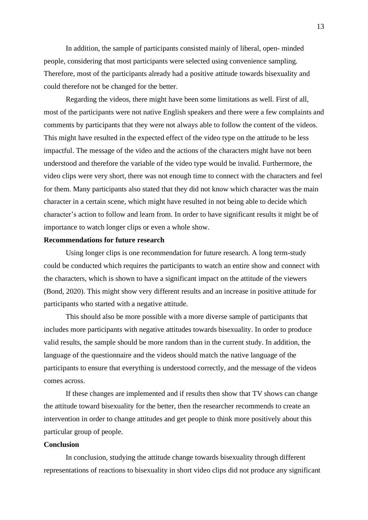In addition, the sample of participants consisted mainly of liberal, open- minded people, considering that most participants were selected using convenience sampling. Therefore, most of the participants already had a positive attitude towards bisexuality and could therefore not be changed for the better.

Regarding the videos, there might have been some limitations as well. First of all, most of the participants were not native English speakers and there were a few complaints and comments by participants that they were not always able to follow the content of the videos. This might have resulted in the expected effect of the video type on the attitude to be less impactful. The message of the video and the actions of the characters might have not been understood and therefore the variable of the video type would be invalid. Furthermore, the video clips were very short, there was not enough time to connect with the characters and feel for them. Many participants also stated that they did not know which character was the main character in a certain scene, which might have resulted in not being able to decide which character's action to follow and learn from. In order to have significant results it might be of importance to watch longer clips or even a whole show.

# **Recommendations for future research**

Using longer clips is one recommendation for future research. A long term-study could be conducted which requires the participants to watch an entire show and connect with the characters, which is shown to have a significant impact on the attitude of the viewers (Bond, 2020). This might show very different results and an increase in positive attitude for participants who started with a negative attitude.

This should also be more possible with a more diverse sample of participants that includes more participants with negative attitudes towards bisexuality. In order to produce valid results, the sample should be more random than in the current study. In addition, the language of the questionnaire and the videos should match the native language of the participants to ensure that everything is understood correctly, and the message of the videos comes across.

If these changes are implemented and if results then show that TV shows can change the attitude toward bisexuality for the better, then the researcher recommends to create an intervention in order to change attitudes and get people to think more positively about this particular group of people.

# **Conclusion**

In conclusion, studying the attitude change towards bisexuality through different representations of reactions to bisexuality in short video clips did not produce any significant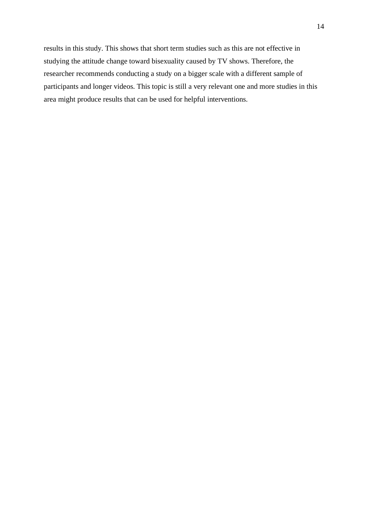results in this study. This shows that short term studies such as this are not effective in studying the attitude change toward bisexuality caused by TV shows. Therefore, the researcher recommends conducting a study on a bigger scale with a different sample of participants and longer videos. This topic is still a very relevant one and more studies in this area might produce results that can be used for helpful interventions.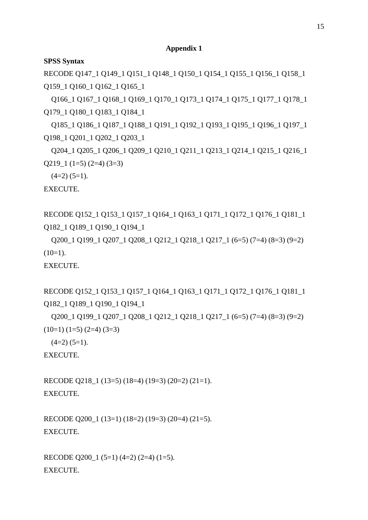# **SPSS Syntax**

RECODE Q147\_1 Q149\_1 Q151\_1 Q148\_1 Q150\_1 Q154\_1 Q155\_1 Q156\_1 Q158\_1 Q159\_1 Q160\_1 Q162\_1 Q165\_1

 Q166\_1 Q167\_1 Q168\_1 Q169\_1 Q170\_1 Q173\_1 Q174\_1 Q175\_1 Q177\_1 Q178\_1 Q179\_1 Q180\_1 Q183\_1 Q184\_1

 Q185\_1 Q186\_1 Q187\_1 Q188\_1 Q191\_1 Q192\_1 Q193\_1 Q195\_1 Q196\_1 Q197\_1 Q198\_1 Q201\_1 Q202\_1 Q203\_1

 Q204\_1 Q205\_1 Q206\_1 Q209\_1 Q210\_1 Q211\_1 Q213\_1 Q214\_1 Q215\_1 Q216\_1  $Q219_1$  (1=5) (2=4) (3=3)

 $(4=2)$   $(5=1)$ .

EXECUTE.

```
RECODE Q152_1 Q153_1 Q157_1 Q164_1 Q163_1 Q171_1 Q172_1 Q176_1 Q181_1
Q182_1 Q189_1 Q190_1 Q194_1
```
 $Q200\quad1\quad 0199\quad1 \quad Q207\quad1 \quad Q208\quad1 \quad Q212\quad1 \quad Q218\quad1 \quad Q217\quad1 \quad (6=5) \quad (7=4) \quad (8=3) \quad (9=2)$  $(10=1)$ .

EXECUTE.

```
RECODE Q152_1 Q153_1 Q157_1 Q164_1 Q163_1 Q171_1 Q172_1 Q176_1 Q181_1
Q182_1 Q189_1 Q190_1 Q194_1
```

```
Q200\quad1\ Q199\quad1\ Q207\quad1\ Q208\quad1\ Q212\quad1\ Q218\quad1\ Q217\quad1 (6=5) (7=4) (8=3) (9=2)(10=1) (1=5) (2=4) (3=3)
```
 $(4=2)$   $(5=1)$ .

EXECUTE.

RECODE Q218 1 (13=5) (18=4) (19=3) (20=2) (21=1). EXECUTE.

RECODE Q200\_1 (13=1) (18=2) (19=3) (20=4) (21=5). EXECUTE.

RECODE Q200\_1 (5=1) (4=2) (2=4) (1=5). EXECUTE.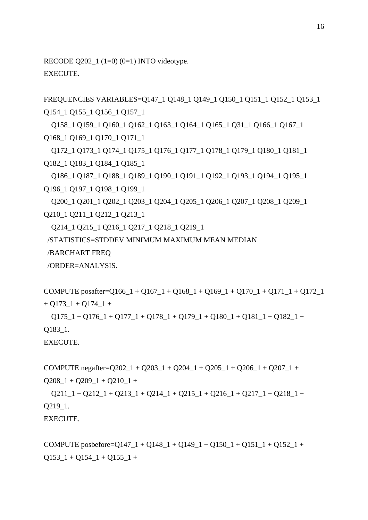RECODE Q202 $1$  (1=0) (0=1) INTO videotype.

EXECUTE.

```
FREQUENCIES VARIABLES=Q147_1 Q148_1 Q149_1 Q150_1 Q151_1 Q152_1 Q153_1
Q154_1 Q155_1 Q156_1 Q157_1
```
 Q158\_1 Q159\_1 Q160\_1 Q162\_1 Q163\_1 Q164\_1 Q165\_1 Q31\_1 Q166\_1 Q167\_1 Q168\_1 Q169\_1 Q170\_1 Q171\_1

 Q172\_1 Q173\_1 Q174\_1 Q175\_1 Q176\_1 Q177\_1 Q178\_1 Q179\_1 Q180\_1 Q181\_1 Q182\_1 Q183\_1 Q184\_1 Q185\_1

```
 Q186_1 Q187_1 Q188_1 Q189_1 Q190_1 Q191_1 Q192_1 Q193_1 Q194_1 Q195_1
Q196_1 Q197_1 Q198_1 Q199_1
```
 Q200\_1 Q201\_1 Q202\_1 Q203\_1 Q204\_1 Q205\_1 Q206\_1 Q207\_1 Q208\_1 Q209\_1 Q210\_1 Q211\_1 Q212\_1 Q213\_1

Q214\_1 Q215\_1 Q216\_1 Q217\_1 Q218\_1 Q219\_1

```
 /STATISTICS=STDDEV MINIMUM MAXIMUM MEAN MEDIAN
```
/BARCHART FREQ

/ORDER=ANALYSIS.

```
COMPUTE posafter=Q166_1 + Q167_1 + Q168_1 + Q169_1 + Q170_1 + Q171_1 + Q172_1+ Q173_1 + Q174_1 +
```

```
Q175 1 + Q176 1 + Q177 1 + Q178 1 + Q179 1 + Q180 1 + Q181 1 + Q182 1 +Q183_1.
```
EXECUTE.

```
COMPUTE negafter=Q202_1 + Q203_1 + Q204_1 + Q205_1 + Q206_1 + Q207_1 +Q208 1 + Q209 1 + Q210 1 +
```
 $Q211_1 + Q212_1 + Q213_1 + Q214_1 + Q215_1 + Q216_1 + Q217_1 + Q218_1 +$ Q219\_1. EXECUTE.

COMPUTE posbefore= $Q147\ 1 + Q148\ 1 + Q149\ 1 + Q150\ 1 + Q151\ 1 + Q152\ 1 +$  $Q153_1 + Q154_1 + Q155_1 +$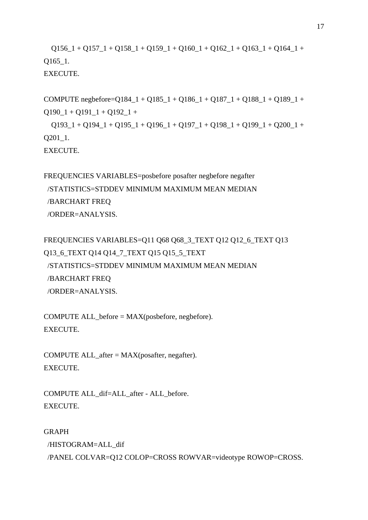$Q156\_1 + Q157\_1 + Q158\_1 + Q159\_1 + Q160\_1 + Q162\_1 + Q163\_1 + Q164\_1 +$ Q165\_1. EXECUTE.

```
COMPUTE negbefore=Q184_1 + Q185_1 + Q186_1 + Q187_1 + Q188_1 + Q189_1 +Q190_1 + Q191_1 + Q192_1 +Q193_1 + Q194_1 + Q195_1 + Q196_1 + Q197_1 + Q198_1 + Q199_1 + Q200_1 +Q201_1.
EXECUTE.
```

```
FREQUENCIES VARIABLES=posbefore posafter negbefore negafter
 /STATISTICS=STDDEV MINIMUM MAXIMUM MEAN MEDIAN
 /BARCHART FREQ
 /ORDER=ANALYSIS.
```

```
FREQUENCIES VARIABLES=Q11 Q68 Q68_3_TEXT Q12 Q12_6_TEXT Q13
Q13_6_TEXT Q14 Q14_7_TEXT Q15 Q15_5_TEXT 
 /STATISTICS=STDDEV MINIMUM MAXIMUM MEAN MEDIAN
 /BARCHART FREQ
 /ORDER=ANALYSIS.
```

```
COMPUTE ALL before = MAX(posbefore, negbefore).
EXECUTE.
```

```
COMPUTE ALL_after = MAX(posafter, negafter).
EXECUTE.
```

```
COMPUTE ALL_dif=ALL_after - ALL_before.
EXECUTE.
```

```
GRAPH
 /HISTOGRAM=ALL_dif
 /PANEL COLVAR=Q12 COLOP=CROSS ROWVAR=videotype ROWOP=CROSS.
```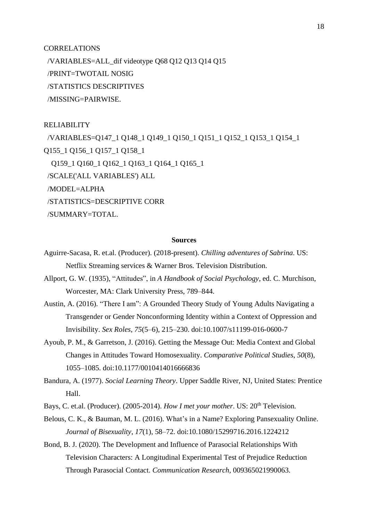# **CORRELATIONS**

 /VARIABLES=ALL\_dif videotype Q68 Q12 Q13 Q14 Q15 /PRINT=TWOTAIL NOSIG /STATISTICS DESCRIPTIVES /MISSING=PAIRWISE.

#### RELIABILITY

 /VARIABLES=Q147\_1 Q148\_1 Q149\_1 Q150\_1 Q151\_1 Q152\_1 Q153\_1 Q154\_1 Q155\_1 Q156\_1 Q157\_1 Q158\_1 Q159\_1 Q160\_1 Q162\_1 Q163\_1 Q164\_1 Q165\_1 /SCALE('ALL VARIABLES') ALL /MODEL=ALPHA /STATISTICS=DESCRIPTIVE CORR /SUMMARY=TOTAL.

#### **Sources**

- Aguirre-Sacasa, R. et.al. (Producer). (2018-present). *Chilling adventures of Sabrina*. US: Netflix Streaming services & Warner Bros. Television Distribution.
- Allport, G. W. (1935), "Attitudes", in *A Handbook of Social Psychology*, ed. C. Murchison, Worcester, MA: Clark University Press, 789–844.
- Austin, A. (2016). "There I am": A Grounded Theory Study of Young Adults Navigating a Transgender or Gender Nonconforming Identity within a Context of Oppression and Invisibility. *Sex Roles*, *75*(5–6), 215–230. doi:10.1007/s11199-016-0600-7
- Ayoub, P. M., & Garretson, J. (2016). Getting the Message Out: Media Context and Global Changes in Attitudes Toward Homosexuality. *Comparative Political Studies*, *50*(8), 1055–1085. doi:10.1177/0010414016666836
- Bandura, A. (1977). *Social Learning Theory*. Upper Saddle River, NJ, United States: Prentice Hall.
- Bays, C. et.al. (Producer). (2005-2014). *How I met your mother*. US: 20<sup>th</sup> Television.
- Belous, C. K., & Bauman, M. L. (2016). What's in a Name? Exploring Pansexuality Online. *Journal of Bisexuality*, *17*(1), 58–72. doi:10.1080/15299716.2016.1224212
- Bond, B. J. (2020). The Development and Influence of Parasocial Relationships With Television Characters: A Longitudinal Experimental Test of Prejudice Reduction Through Parasocial Contact. *Communication Research*, 009365021990063.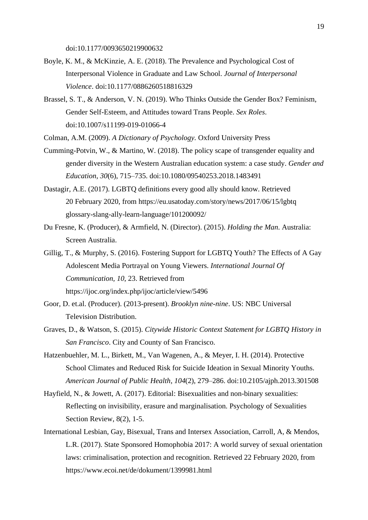doi:10.1177/0093650219900632

- Boyle, K. M., & McKinzie, A. E. (2018). The Prevalence and Psychological Cost of Interpersonal Violence in Graduate and Law School. *Journal of Interpersonal Violence*. doi:10.1177/0886260518816329
- Brassel, S. T., & Anderson, V. N. (2019). Who Thinks Outside the Gender Box? Feminism, Gender Self-Esteem, and Attitudes toward Trans People. *Sex Roles*. doi:10.1007/s11199-019-01066-4

Colman, A.M. (2009). *A Dictionary of Psychology.* Oxford University Press

- Cumming-Potvin, W., & Martino, W. (2018). The policy scape of transgender equality and gender diversity in the Western Australian education system: a case study. *Gender and Education*, *30*(6), 715–735. doi:10.1080/09540253.2018.1483491
- Dastagir, A.E. (2017). LGBTQ definitions every good ally should know. Retrieved 20 February 2020, from https://eu.usatoday.com/story/news/2017/06/15/lgbtq glossary-slang-ally-learn-language/101200092/
- Du Fresne, K. (Producer), & Armfield, N. (Director). (2015). *Holding the Man*. Australia: Screen Australia.
- Gillig, T., & Murphy, S. (2016). Fostering Support for LGBTQ Youth? The Effects of A Gay Adolescent Media Portrayal on Young Viewers. *International Journal Of Communication, 10*, 23. Retrieved from https://ijoc.org/index.php/ijoc/article/view/5496
- Goor, D. et.al. (Producer). (2013-present). *Brooklyn nine-nine*. US: NBC Universal Television Distribution.
- Graves, D., & Watson, S. (2015). *Citywide Historic Context Statement for LGBTQ History in San Francisco*. City and County of San Francisco.
- Hatzenbuehler, M. L., Birkett, M., Van Wagenen, A., & Meyer, I. H. (2014). Protective School Climates and Reduced Risk for Suicide Ideation in Sexual Minority Youths. *American Journal of Public Health*, *104*(2), 279–286. doi:10.2105/ajph.2013.301508
- Hayfield, N., & Jowett, A. (2017). Editorial: Bisexualities and non-binary sexualities: Reflecting on invisibility, erasure and marginalisation. Psychology of Sexualities Section Review, 8(2), 1-5.
- International Lesbian, Gay, Bisexual, Trans and Intersex Association, Carroll, A, & Mendos, L.R. (2017). State Sponsored Homophobia 2017: A world survey of sexual orientation laws: criminalisation, protection and recognition. Retrieved 22 February 2020, from https://www.ecoi.net/de/dokument/1399981.html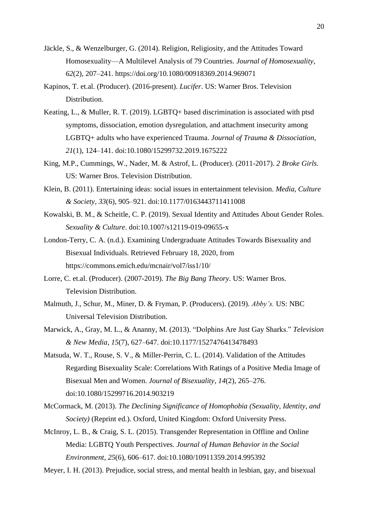- Jäckle, S., & Wenzelburger, G. (2014). Religion, Religiosity, and the Attitudes Toward Homosexuality—A Multilevel Analysis of 79 Countries. *Journal of Homosexuality*, *62*(2), 207–241. https://doi.org/10.1080/00918369.2014.969071
- Kapinos, T. et.al. (Producer). (2016-present). *Lucifer*. US: Warner Bros. Television Distribution.
- Keating, L., & Muller, R. T. (2019). LGBTQ+ based discrimination is associated with ptsd symptoms, dissociation, emotion dysregulation, and attachment insecurity among LGBTQ+ adults who have experienced Trauma. *Journal of Trauma & Dissociation*, *21*(1), 124–141. doi:10.1080/15299732.2019.1675222
- King, M.P., Cummings, W., Nader, M. & Astrof, L. (Producer). (2011-2017). *2 Broke Girls*. US: Warner Bros. Television Distribution.
- Klein, B. (2011). Entertaining ideas: social issues in entertainment television. *Media, Culture & Society*, *33*(6), 905–921. doi:10.1177/0163443711411008
- Kowalski, B. M., & Scheitle, C. P. (2019). Sexual Identity and Attitudes About Gender Roles. *Sexuality & Culture*. doi:10.1007/s12119-019-09655-x
- London-Terry, C. A. (n.d.). Examining Undergraduate Attitudes Towards Bisexuality and Bisexual Individuals. Retrieved February 18, 2020, from https://commons.emich.edu/mcnair/vol7/iss1/10/
- Lorre, C. et.al. (Producer). (2007-2019). *The Big Bang Theory.* US: Warner Bros. Television Distribution.
- Malmuth, J., Schur, M., Miner, D. & Fryman, P. (Producers). (2019). *Abby's.* US: NBC Universal Television Distribution.
- Marwick, A., Gray, M. L., & Ananny, M. (2013). "Dolphins Are Just Gay Sharks." *Television & New Media*, *15*(7), 627–647. doi:10.1177/1527476413478493
- Matsuda, W. T., Rouse, S. V., & Miller-Perrin, C. L. (2014). Validation of the Attitudes Regarding Bisexuality Scale: Correlations With Ratings of a Positive Media Image of Bisexual Men and Women. *Journal of Bisexuality*, *14*(2), 265–276. doi:10.1080/15299716.2014.903219
- McCormack, M. (2013). *The Declining Significance of Homophobia (Sexuality, Identity, and Society)* (Reprint ed.). Oxford, United Kingdom: Oxford University Press.
- McInroy, L. B., & Craig, S. L. (2015). Transgender Representation in Offline and Online Media: LGBTQ Youth Perspectives. *Journal of Human Behavior in the Social Environment*, *25*(6), 606–617. doi:10.1080/10911359.2014.995392

Meyer, I. H. (2013). Prejudice, social stress, and mental health in lesbian, gay, and bisexual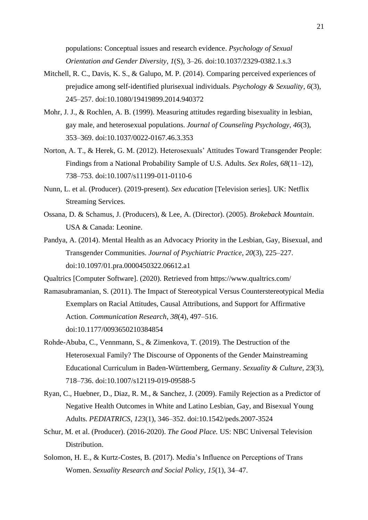populations: Conceptual issues and research evidence. *Psychology of Sexual Orientation and Gender Diversity*, *1*(S), 3–26. doi:10.1037/2329-0382.1.s.3

- Mitchell, R. C., Davis, K. S., & Galupo, M. P. (2014). Comparing perceived experiences of prejudice among self-identified plurisexual individuals. *Psychology & Sexuality*, *6*(3), 245–257. doi:10.1080/19419899.2014.940372
- Mohr, J. J., & Rochlen, A. B. (1999). Measuring attitudes regarding bisexuality in lesbian, gay male, and heterosexual populations. *Journal of Counseling Psychology*, *46*(3), 353–369. doi:10.1037/0022-0167.46.3.353
- Norton, A. T., & Herek, G. M. (2012). Heterosexuals' Attitudes Toward Transgender People: Findings from a National Probability Sample of U.S. Adults. *Sex Roles*, *68*(11–12), 738–753. doi:10.1007/s11199-011-0110-6
- Nunn, L. et al. (Producer). (2019-present). *Sex education* [Television series]. UK: Netflix Streaming Services.
- Ossana, D. & Schamus, J. (Producers), & Lee, A. (Director). (2005). *Brokeback Mountain*. USA & Canada: Leonine.
- Pandya, A. (2014). Mental Health as an Advocacy Priority in the Lesbian, Gay, Bisexual, and Transgender Communities. *Journal of Psychiatric Practice*, *20*(3), 225–227. doi:10.1097/01.pra.0000450322.06612.a1
- Qualtrics [Computer Software]. (2020). Retrieved from https://www.qualtrics.com/
- Ramasubramanian, S. (2011). The Impact of Stereotypical Versus Counterstereotypical Media Exemplars on Racial Attitudes, Causal Attributions, and Support for Affirmative Action. *Communication Research*, *38*(4), 497–516. doi:10.1177/0093650210384854
- Rohde-Abuba, C., Vennmann, S., & Zimenkova, T. (2019). The Destruction of the Heterosexual Family? The Discourse of Opponents of the Gender Mainstreaming Educational Curriculum in Baden-Württemberg, Germany. *Sexuality & Culture*, *23*(3), 718–736. doi:10.1007/s12119-019-09588-5
- Ryan, C., Huebner, D., Diaz, R. M., & Sanchez, J. (2009). Family Rejection as a Predictor of Negative Health Outcomes in White and Latino Lesbian, Gay, and Bisexual Young Adults. *PEDIATRICS*, *123*(1), 346–352. doi:10.1542/peds.2007-3524
- Schur, M. et al. (Producer). (2016-2020). *The Good Place.* US: NBC Universal Television Distribution.
- Solomon, H. E., & Kurtz-Costes, B. (2017). Media's Influence on Perceptions of Trans Women. *Sexuality Research and Social Policy*, *15*(1), 34–47.